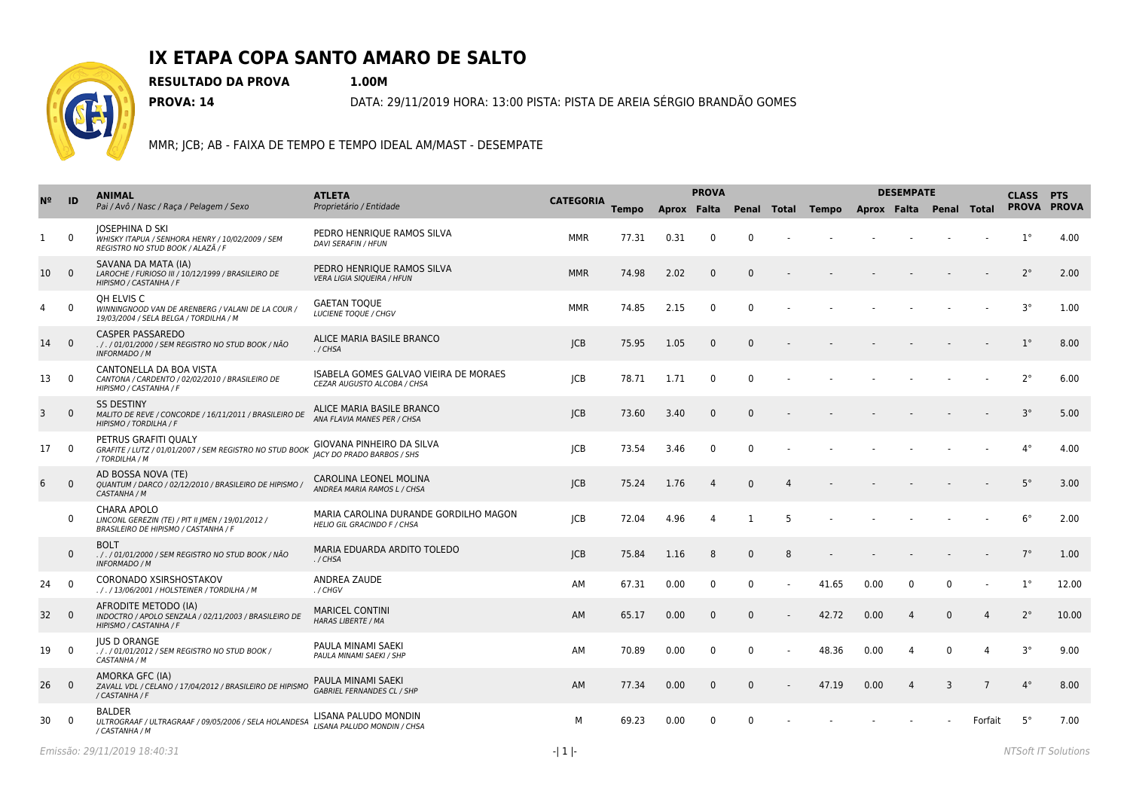

## **IX ETAPA COPA SANTO AMARO DE SALTO**

**RESULTADO DA PROVA 1.00M**

**PROVA: 14** DATA: 29/11/2019 HORA: 13:00 PISTA: PISTA DE AREIA SÉRGIO BRANDÃO GOMES

MMR; JCB; AB - FAIXA DE TEMPO E TEMPO IDEAL AM/MAST - DESEMPATE

| N <sup>2</sup> | ID             | <b>ANIMAL</b><br>Pai / Avô / Nasc / Raça / Pelagem / Sexo                                                       | <b>ATLETA</b><br>Proprietário / Entidade                             |                  | <b>PROVA</b> |      |                |                         |   | <b>DESEMPATE</b> |      |                |                         |                 |             | <b>CLASS PTS</b> |
|----------------|----------------|-----------------------------------------------------------------------------------------------------------------|----------------------------------------------------------------------|------------------|--------------|------|----------------|-------------------------|---|------------------|------|----------------|-------------------------|-----------------|-------------|------------------|
|                |                |                                                                                                                 |                                                                      | <b>CATEGORIA</b> | <b>Tempo</b> |      |                | Aprox Falta Penal Total |   | Tempo            |      |                | Aprox Falta Penal Total |                 | PROVA PROVA |                  |
| 1              | $\Omega$       | <b>JOSEPHINA D SKI</b><br>WHISKY ITAPUA / SENHORA HENRY / 10/02/2009 / SEM<br>REGISTRO NO STUD BOOK / ALAZÃ / F | PEDRO HENRIQUE RAMOS SILVA<br><b>DAVI SERAFIN / HFUN</b>             | <b>MMR</b>       | 77.31        | 0.31 | $\Omega$       | $\Omega$                |   |                  |      |                |                         |                 | $1^{\circ}$ | 4.00             |
| 10             | $\overline{0}$ | SAVANA DA MATA (IA)<br>LAROCHE / FURIOSO III / 10/12/1999 / BRASILEIRO DE<br>HIPISMO / CASTANHA / F             | PEDRO HENRIOUE RAMOS SILVA<br><b>VERA LIGIA SIQUEIRA / HFUN</b>      | <b>MMR</b>       | 74.98        | 2.02 | $\Omega$       | $\Omega$                |   |                  |      |                |                         |                 | $2^{\circ}$ | 2.00             |
| 4              | $\Omega$       | OH ELVIS C<br>WINNINGNOOD VAN DE ARENBERG / VALANI DE LA COUR /<br>19/03/2004 / SELA BELGA / TORDILHA / M       | <b>GAETAN TOQUE</b><br><b>LUCIENE TOOUE / CHGV</b>                   | <b>MMR</b>       | 74.85        | 2.15 | $\mathbf{0}$   | $\Omega$                |   |                  |      |                |                         |                 | $3^{\circ}$ | 1.00             |
| 14             | $\overline{0}$ | <b>CASPER PASSAREDO</b><br>. / . / 01/01/2000 / SEM REGISTRO NO STUD BOOK / NÃO<br><b>INFORMADO / M</b>         | ALICE MARIA BASILE BRANCO<br>./CHSA                                  | CB               | 75.95        | 1.05 | $\Omega$       | $\Omega$                |   |                  |      |                |                         |                 | $1^{\circ}$ | 8.00             |
| 13             | $\overline{0}$ | CANTONELLA DA BOA VISTA<br>CANTONA / CARDENTO / 02/02/2010 / BRASILEIRO DE<br>HIPISMO / CASTANHA / F            | ISABELA GOMES GALVAO VIEIRA DE MORAES<br>CEZAR AUGUSTO ALCOBA / CHSA | <b>JCB</b>       | 78.71        | 1.71 | $\mathbf{0}$   | $\Omega$                |   |                  |      |                |                         |                 | $2^{\circ}$ | 6.00             |
| 3              | $\Omega$       | <b>SS DESTINY</b><br>MALITO DE REVE / CONCORDE / 16/11/2011 / BRASILEIRO DE<br>HIPISMO / TORDILHA / F           | ALICE MARIA BASILE BRANCO<br>ANA FLAVIA MANES PER / CHSA             | CB               | 73.60        | 3.40 | $\Omega$       | $\Omega$                |   |                  |      |                |                         |                 | $3^\circ$   | 5.00             |
| 17             | $\overline{0}$ | PETRUS GRAFITI OUALY<br>GRAFITE / LUTZ / 01/01/2007 / SEM REGISTRO NO STUD BOOK<br>/ TORDILHA / M               | GIOVANA PINHEIRO DA SILVA<br><b>IACY DO PRADO BARBOS / SHS</b>       | <b>ICB</b>       | 73.54        | 3.46 | $\Omega$       | $\Omega$                |   |                  |      |                |                         |                 | $4^{\circ}$ | 4.00             |
| 6              | $\mathbf{0}$   | AD BOSSA NOVA (TE)<br>QUANTUM / DARCO / 02/12/2010 / BRASILEIRO DE HIPISMO /<br>CASTANHA / M                    | CAROLINA LEONEL MOLINA<br>ANDREA MARIA RAMOS L / CHSA                | CB               | 75.24        | 1.76 | $\overline{4}$ | $\Omega$                | 4 |                  |      |                |                         |                 | $5^\circ$   | 3.00             |
|                | $\mathbf{0}$   | CHARA APOLO<br>LINCONL GEREZIN (TE) / PIT II JMEN / 19/01/2012 /<br>BRASILEIRO DE HIPISMO / CASTANHA / F        | MARIA CAROLINA DURANDE GORDILHO MAGON<br>HELIO GIL GRACINDO F / CHSA | <b>JCB</b>       | 72.04        | 4.96 | $\overline{4}$ | $\overline{1}$          | 5 |                  |      |                |                         |                 | $6^{\circ}$ | 2.00             |
|                | $\Omega$       | <b>BOLT</b><br>. / . / 01/01/2000 / SEM REGISTRO NO STUD BOOK / NÃO<br><b>INFORMADO / M</b>                     | MARIA EDUARDA ARDITO TOLEDO<br>$./$ CHSA                             | CB               | 75.84        | 1.16 | 8              | $\mathbf{0}$            | 8 |                  |      |                |                         |                 | $7^{\circ}$ | 1.00             |
| 24             | - 0            | CORONADO XSIRSHOSTAKOV<br>././13/06/2001 / HOLSTEINER / TORDILHA / M                                            | <b>ANDREA ZAUDE</b><br>. / CHGV                                      | AM               | 67.31        | 0.00 | $\Omega$       | $\Omega$                |   | 41.65            | 0.00 | $\mathbf{0}$   | $\Omega$                |                 | $1^{\circ}$ | 12.00            |
| 32             | $\overline{0}$ | AFRODITE METODO (IA)<br>INDOCTRO / APOLO SENZALA / 02/11/2003 / BRASILEIRO DE<br>HIPISMO / CASTANHA / F         | <b>MARICEL CONTINI</b><br><b>HARAS LIBERTE / MA</b>                  | AM               | 65.17        | 0.00 | $\Omega$       | $\mathbf{0}$            |   | 42.72            | 0.00 | $\Delta$       | $\mathbf{0}$            | $\Delta$        | $2^{\circ}$ | 10.00            |
| 19             | $\Omega$       | <b>JUS D ORANGE</b><br>././01/01/2012 / SEM REGISTRO NO STUD BOOK /<br>CASTANHA / M                             | PAULA MINAMI SAEKI<br>PAULA MINAMI SAEKI / SHP                       | AM               | 70.89        | 0.00 | 0              | $\Omega$                |   | 48.36            | 0.00 | 4              | $\Omega$                | $\Delta$        | $3^{\circ}$ | 9.00             |
| 26             | $\overline{0}$ | AMORKA GFC (IA)<br>ZAVALL VDL / CELANO / 17/04/2012 / BRASILEIRO DE HIPISMO<br>/ CASTANHA / F                   | PAULA MINAMI SAEKI<br><b>GABRIEL FERNANDES CL / SHP</b>              | AM               | 77.34        | 0.00 | $\Omega$       | $\mathbf{0}$            |   | 47.19            | 0.00 | $\overline{4}$ | 3                       | $7\phantom{.0}$ | $4^{\circ}$ | 8.00             |
| 30             | $\Omega$       | <b>BALDER</b><br>ULTROGRAAF / ULTRAGRAAF / 09/05/2006 / SELA HOLANDESA<br>/ CASTANHA / M                        | LISANA PALUDO MONDIN<br>LISANA PALUDO MONDIN / CHSA                  | М                | 69.23        | 0.00 | $\Omega$       | $\Omega$                |   |                  |      |                |                         | Forfait         | $5^\circ$   | 7.00             |